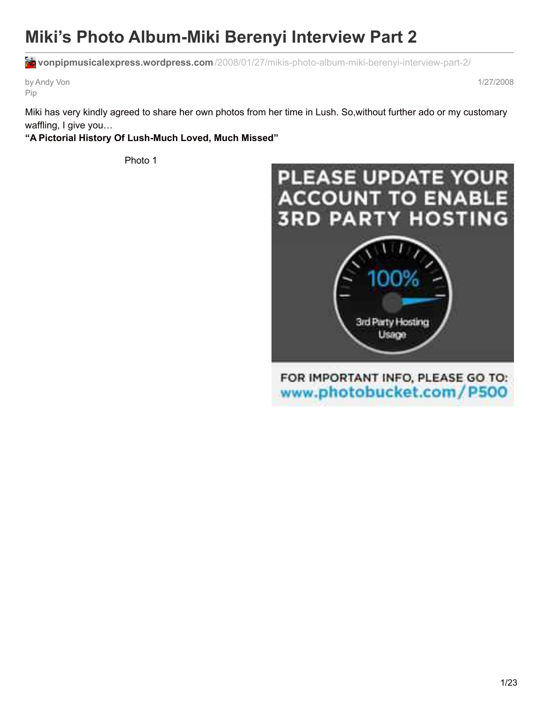# **Miki's Photo Album-Miki Berenyi Interview Part 2**

**vonpipmusicalexpress.wordpress.com**[/2008/01/27/mikis-photo-album-miki-berenyi-interview-part-2/](https://vonpipmusicalexpress.wordpress.com/2008/01/27/mikis-photo-album-miki-berenyi-interview-part-2/)

by Andy Von Pip

1/27/2008

Miki has very kindly agreed to share her own photos from her time in Lush. So,without further ado or my customary waffling, I give you…

## **"A Pictorial History Of Lush-Much Loved, Much Missed"**

Photo 1

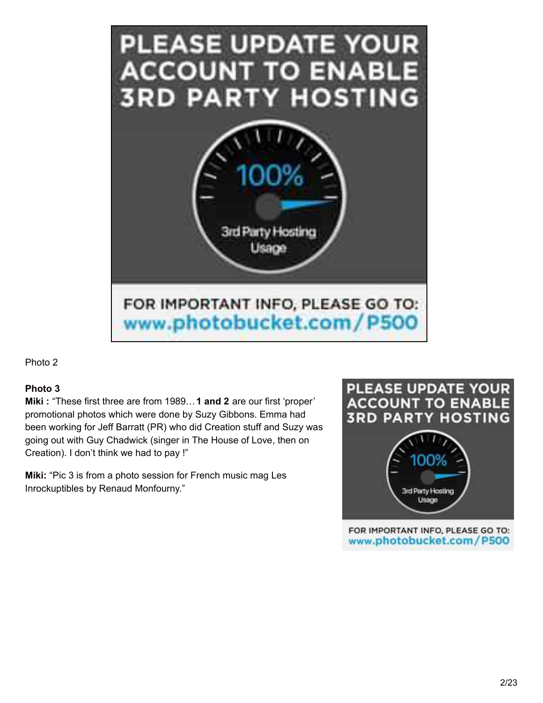

## **Photo 3**

**Miki :** "These first three are from 1989…**1 and 2** are our first 'proper' promotional photos which were done by Suzy Gibbons. Emma had been working for Jeff Barratt (PR) who did Creation stuff and Suzy was going out with Guy Chadwick (singer in The House of Love, then on Creation). I don't think we had to pay !"

**Miki:** "Pic 3 is from a photo session for French music mag Les Inrockuptibles by Renaud Monfourny."

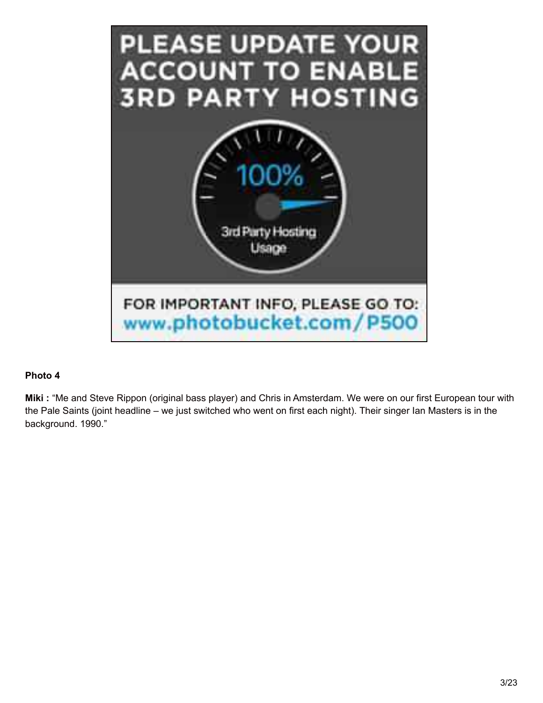

**Miki :** "Me and Steve Rippon (original bass player) and Chris in Amsterdam. We were on our first European tour with the Pale Saints (joint headline – we just switched who went on first each night). Their singer Ian Masters is in the background. 1990."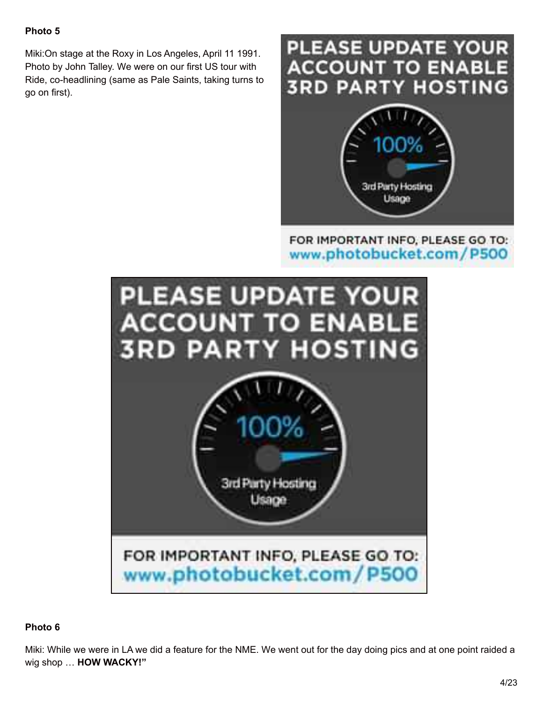Miki:On stage at the Roxy in Los Angeles, April 11 1991. Photo by John Talley. We were on our first US tour with Ride, co-headlining (same as Pale Saints, taking turns to go on first).



## FOR IMPORTANT INFO. PLEASE GO TO: www.photobucket.com/P500

Usage



## **Photo 6**

Miki: While we were in LA we did a feature for the NME. We went out for the day doing pics and at one point raided a wig shop … **HOW WACKY!"**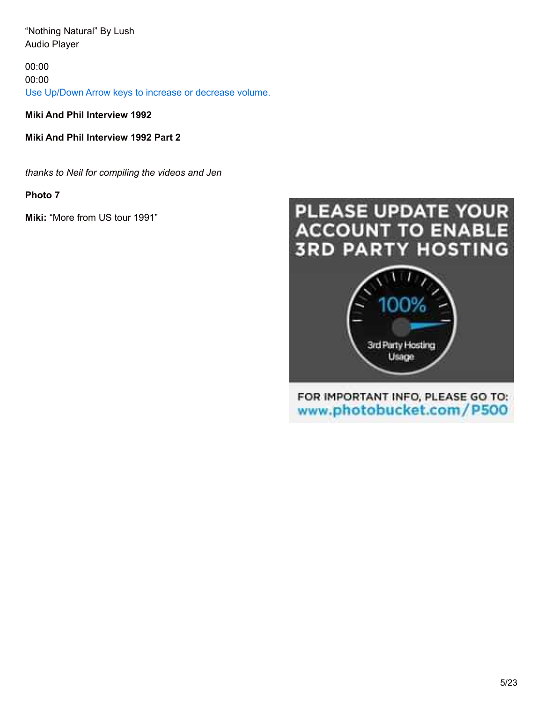"Nothing Natural" By Lush Audio Player

00:00 00:00 Use Up/Down Arrow keys to increase or decrease volume.

**Miki And Phil Interview 1992**

**Miki And Phil Interview 1992 Part 2**

*thanks to Neil for compiling the videos and Jen*

**Photo 7**

**Miki:** "More from US tour 1991"

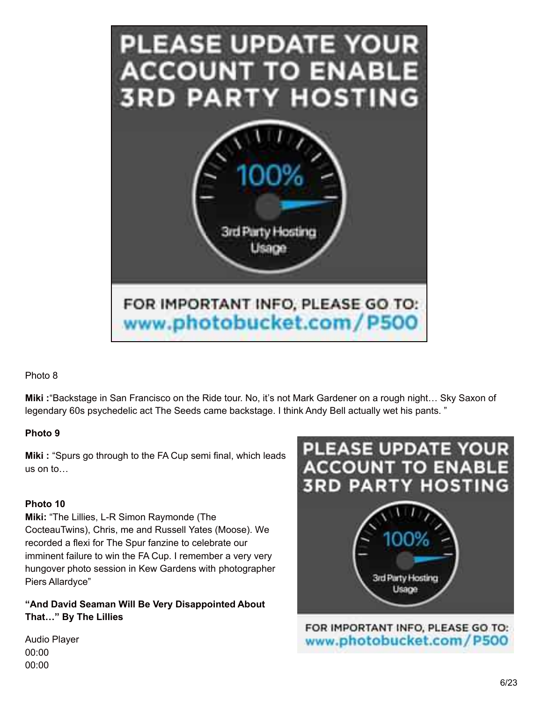

**Miki :**"Backstage in San Francisco on the Ride tour. No, it's not Mark Gardener on a rough night… Sky Saxon of legendary 60s psychedelic act The Seeds came backstage. I think Andy Bell actually wet his pants. "

## **Photo 9**

**Miki :** "Spurs go through to the FA Cup semi final, which leads us on to…

## **Photo 10**

**Miki:** "The Lillies, L-R Simon Raymonde (The CocteauTwins), Chris, me and Russell Yates (Moose). We recorded a flexi for The Spur fanzine to celebrate our imminent failure to win the FA Cup. I remember a very very hungover photo session in Kew Gardens with photographer Piers Allardyce"

**"And David Seaman Will Be Very Disappointed About That…" By The Lillies**



FOR IMPORTANT INFO, PLEASE GO TO: www.photobucket.com/P500

Audio Player 00:00 00:00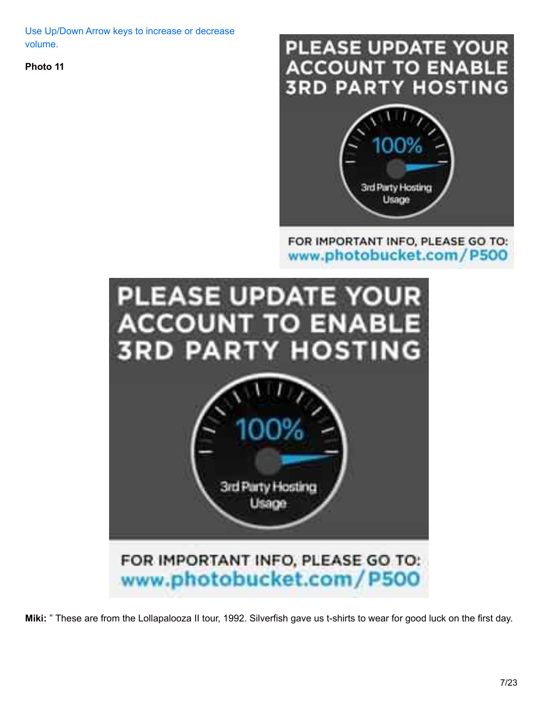Use Up/Down Arrow keys to increase or decrease volume.

**Photo 11**



## FOR IMPORTANT INFO, PLEASE GO TO: www.photobucket.com/P500



**Miki:** " These are from the Lollapalooza II tour, 1992. Silverfish gave us t-shirts to wear for good luck on the first day.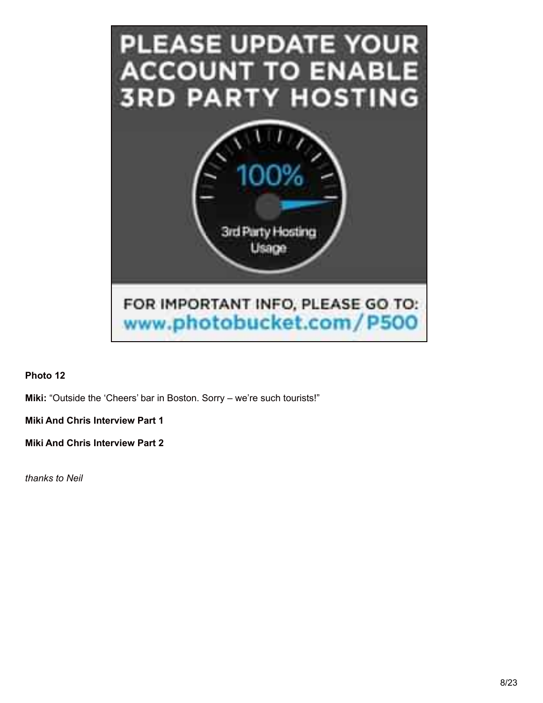

**Miki:** "Outside the 'Cheers' bar in Boston. Sorry – we're such tourists!"

**Miki And Chris Interview Part 1**

**Miki And Chris Interview Part 2**

*thanks to Neil*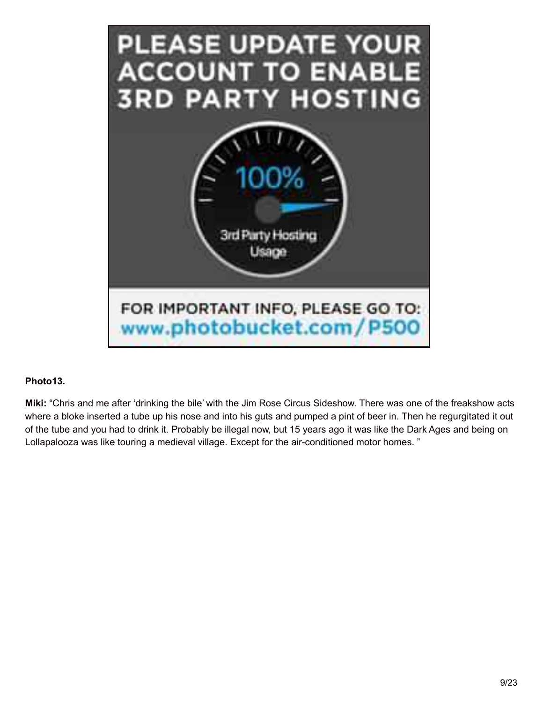

## **Photo13.**

**Miki:** "Chris and me after 'drinking the bile' with the Jim Rose Circus Sideshow. There was one of the freakshow acts where a bloke inserted a tube up his nose and into his guts and pumped a pint of beer in. Then he regurgitated it out of the tube and you had to drink it. Probably be illegal now, but 15 years ago it was like the Dark Ages and being on Lollapalooza was like touring a medieval village. Except for the air-conditioned motor homes. "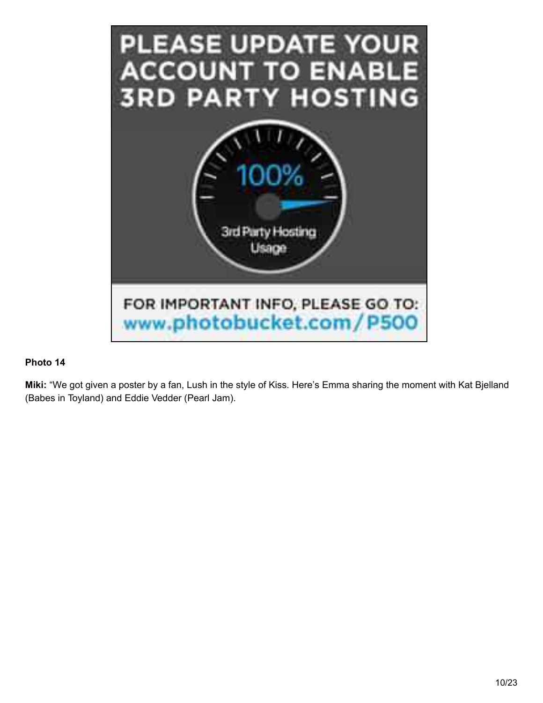

**Miki:** "We got given a poster by a fan, Lush in the style of Kiss. Here's Emma sharing the moment with Kat Bjelland (Babes in Toyland) and Eddie Vedder (Pearl Jam).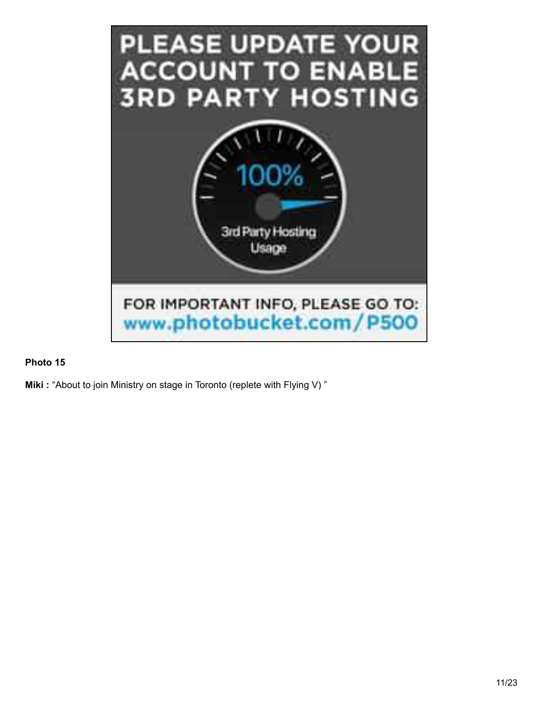

**Miki :** "About to join Ministry on stage in Toronto (replete with Flying V) "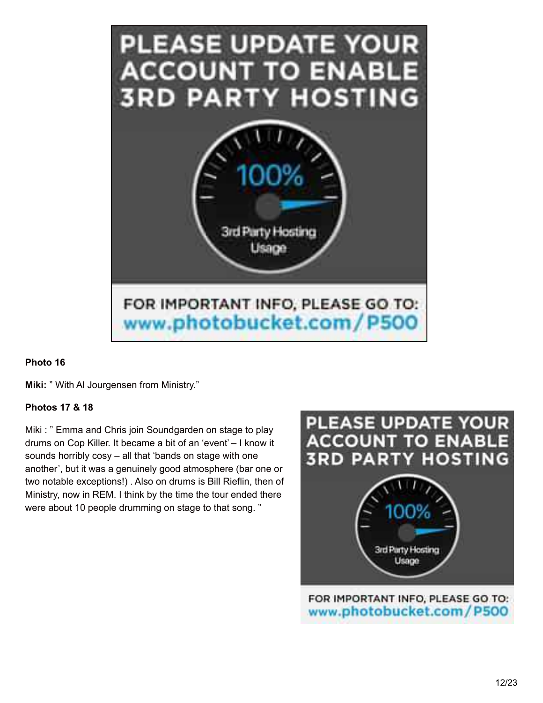

**Miki:** " With Al Jourgensen from Ministry."

## **Photos 17 & 18**

Miki : " Emma and Chris join Soundgarden on stage to play drums on Cop Killer. It became a bit of an 'event' – I know it sounds horribly cosy – all that 'bands on stage with one another', but it was a genuinely good atmosphere (bar one or two notable exceptions!) . Also on drums is Bill Rieflin, then of Ministry, now in REM. I think by the time the tour ended there were about 10 people drumming on stage to that song. "

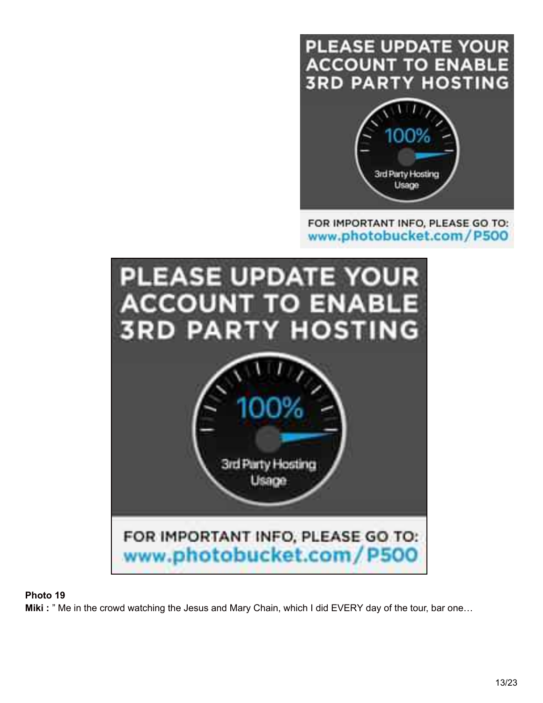## **PLEASE UPDATE YOUR ACCOUNT TO ENABLE 3RD PARTY HOSTING**



## FOR IMPORTANT INFO, PLEASE GO TO: www.photobucket.com/P500



## **Photo 19**

**Miki** : " Me in the crowd watching the Jesus and Mary Chain, which I did EVERY day of the tour, bar one...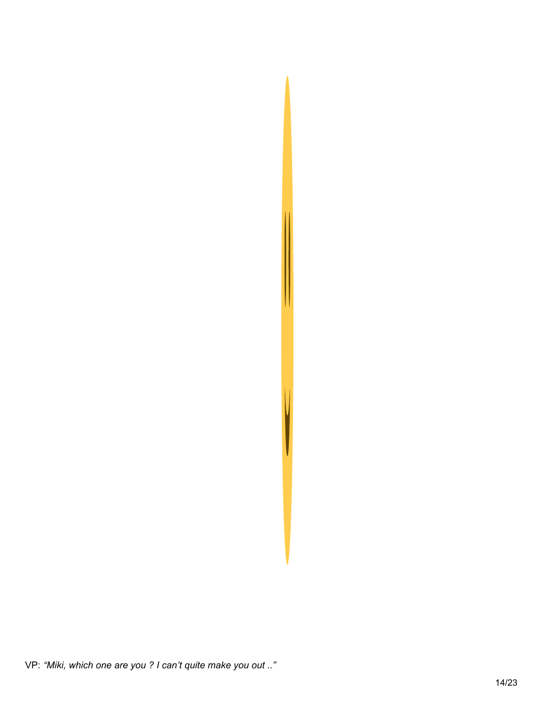

VP: "Miki, which one are you ? I can't quite make you out .."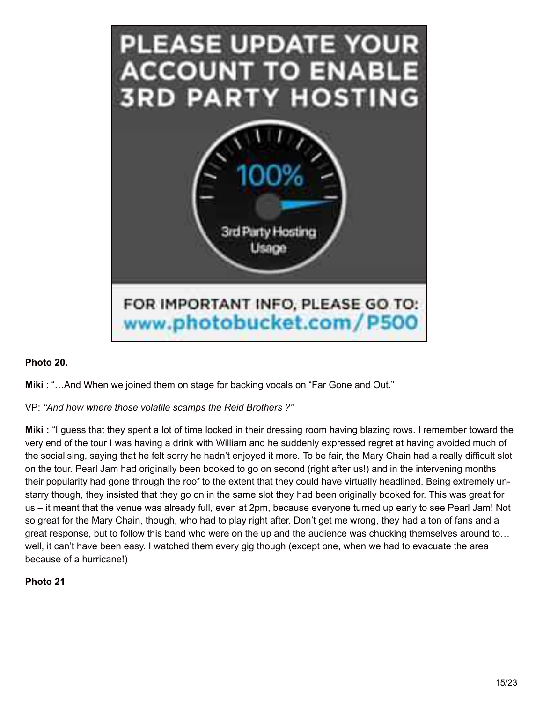

## **Photo 20.**

**Miki** : "…And When we joined them on stage for backing vocals on "Far Gone and Out."

## VP: *"And how where those volatile scamps the Reid Brothers ?"*

**Miki :** "I guess that they spent a lot of time locked in their dressing room having blazing rows. I remember toward the very end of the tour I was having a drink with William and he suddenly expressed regret at having avoided much of the socialising, saying that he felt sorry he hadn't enjoyed it more. To be fair, the Mary Chain had a really difficult slot on the tour. Pearl Jam had originally been booked to go on second (right after us!) and in the intervening months their popularity had gone through the roof to the extent that they could have virtually headlined. Being extremely unstarry though, they insisted that they go on in the same slot they had been originally booked for. This was great for us – it meant that the venue was already full, even at 2pm, because everyone turned up early to see Pearl Jam! Not so great for the Mary Chain, though, who had to play right after. Don't get me wrong, they had a ton of fans and a great response, but to follow this band who were on the up and the audience was chucking themselves around to… well, it can't have been easy. I watched them every gig though (except one, when we had to evacuate the area because of a hurricane!)

## **Photo 21**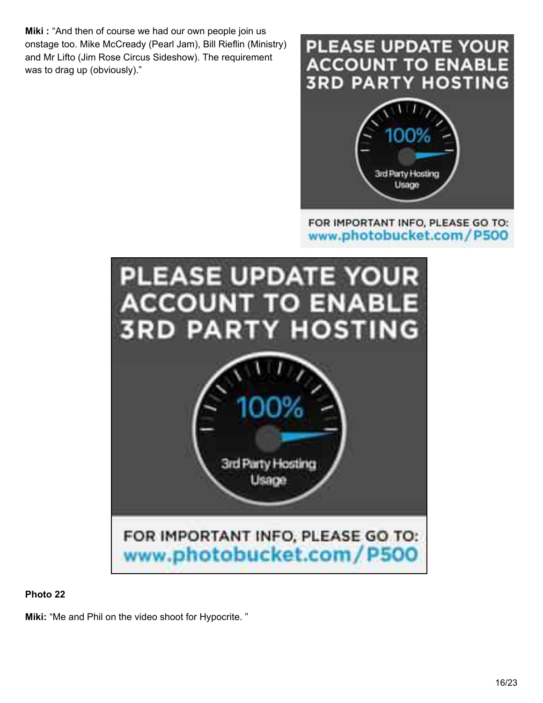**Miki :** "And then of course we had our own people join us onstage too. Mike McCready (Pearl Jam), Bill Rieflin (Ministry) and Mr Lifto (Jim Rose Circus Sideshow). The requirement was to drag up (obviously)."

## PLEASE UPDATE YOUR **ACCOUNT TO ENABL 3RD PARTY HOSTING**



## FOR IMPORTANT INFO, PLEASE GO TO: www.photobucket.com/P500



## **Photo 22**

**Miki:** "Me and Phil on the video shoot for Hypocrite. "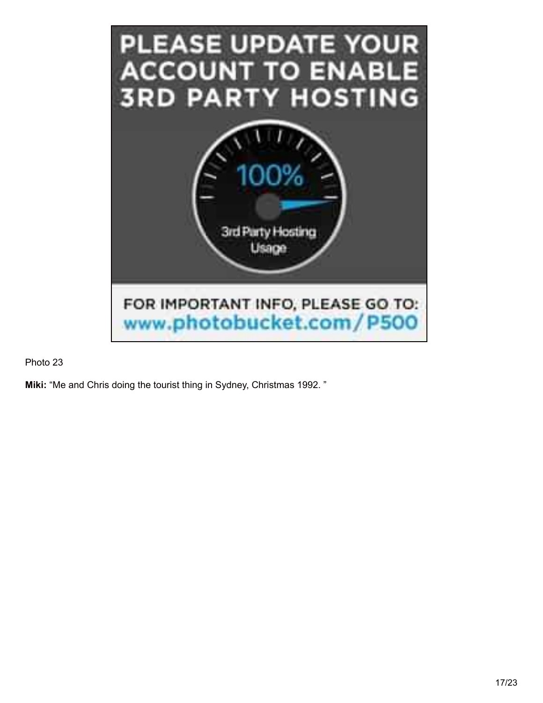

**Miki:** "Me and Chris doing the tourist thing in Sydney, Christmas 1992. "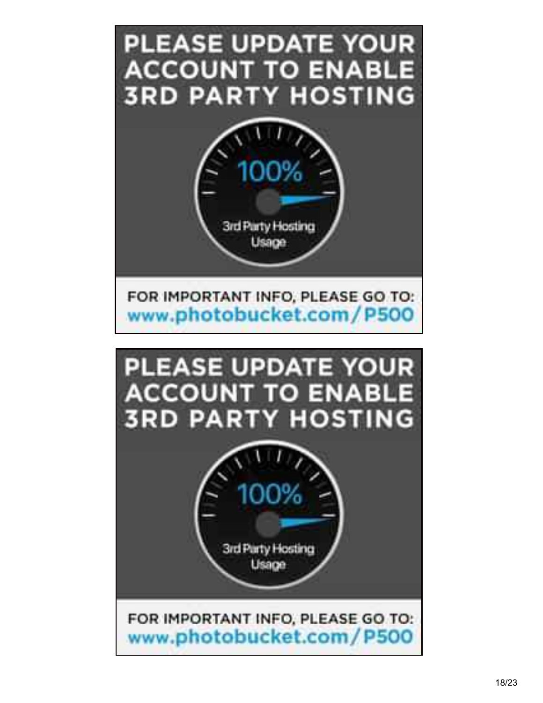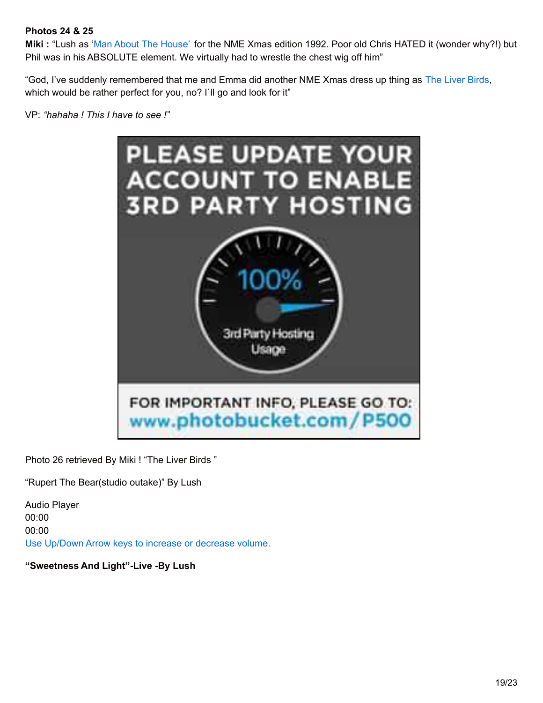## **Photos 24 & 25**

**Miki :** "Lush as 'Man About The [House'](http://en.wikipedia.org/wiki/Man_About_the_House) for the NME Xmas edition 1992. Poor old Chris HATED it (wonder why?!) but Phil was in his ABSOLUTE element. We virtually had to wrestle the chest wig off him"

"God, I've suddenly remembered that me and Emma did another NME Xmas dress up thing as The Liver [Birds,](http://en.wikipedia.org/wiki/The_Liver_Birds) which would be rather perfect for you, no? I`ll go and look for it"

VP: *"hahaha ! This I have to see !*"



Photo 26 retrieved By Miki ! "The Liver Birds "

"Rupert The Bear(studio outake)" By Lush

Audio Player 00:00 00:00 Use Up/Down Arrow keys to increase or decrease volume.

**"Sweetness And Light"-Live -By Lush**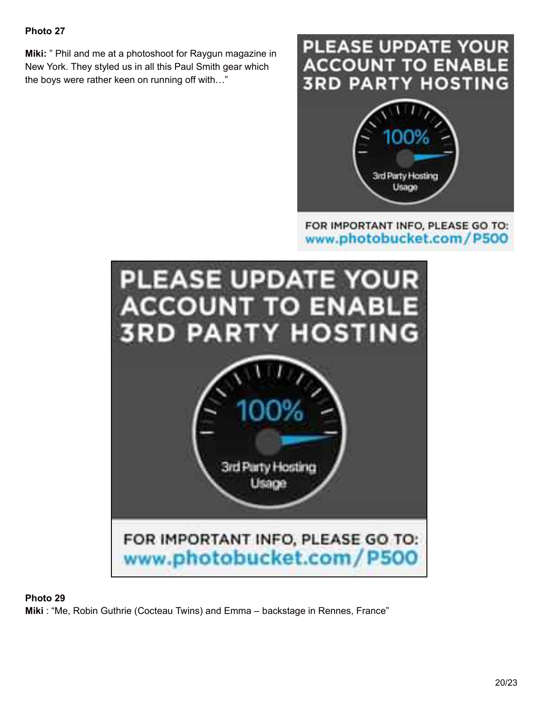**Miki:** " Phil and me at a photoshoot for Raygun magazine in New York. They styled us in all this Paul Smith gear which the boys were rather keen on running off with…"

# **PLEASE UPDATE YOUR ACCOUNT TO ENABL 3RD PARTY HOSTING**



## FOR IMPORTANT INFO, PLEASE GO TO: www.photobucket.com/P500



## **Photo 29**

**Miki** : "Me, Robin Guthrie (Cocteau Twins) and Emma – backstage in Rennes, France"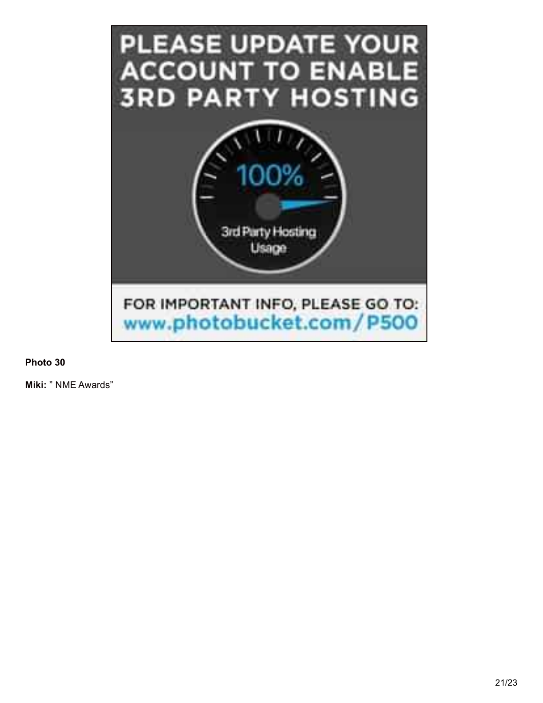

**Miki:** " NME Awards"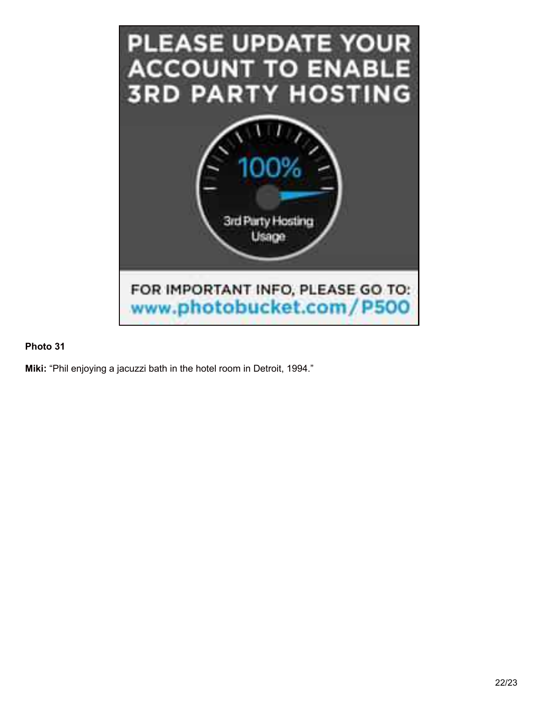

**Miki:** "Phil enjoying a jacuzzi bath in the hotel room in Detroit, 1994."